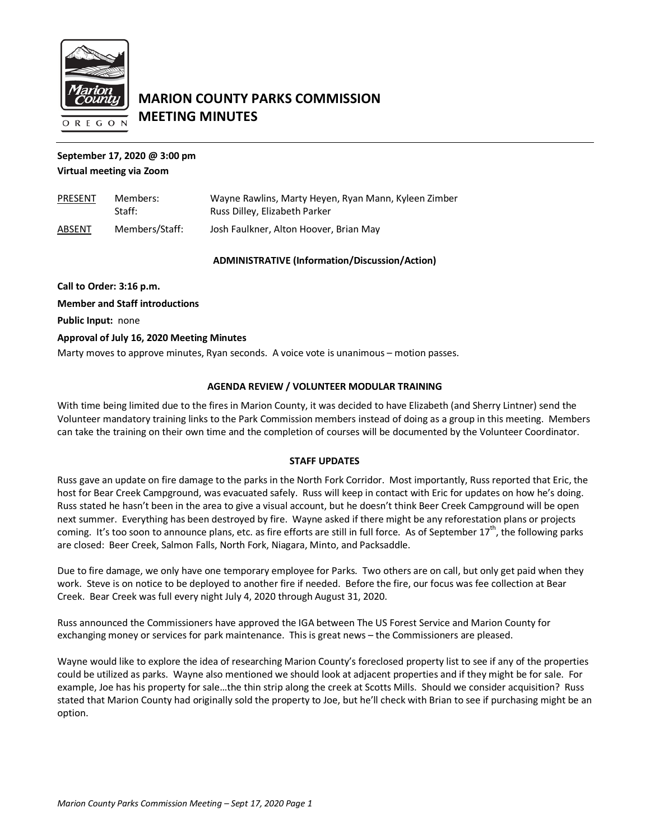

# **MARION COUNTY PARKS COMMISSION MEETING MINUTES**

## **September 17, 2020 @ 3:00 pm Virtual meeting via Zoom**

| <b>PRESENT</b> | Members:<br>Straff: | Wayne Rawlins, Marty Heyen, Ryan Mann, Kyleen Zimber<br>Russ Dilley, Elizabeth Parker |
|----------------|---------------------|---------------------------------------------------------------------------------------|
| ABSENT         | Members/Staff:      | Josh Faulkner, Alton Hoover, Brian May                                                |

### **ADMINISTRATIVE (Information/Discussion/Action)**

**Call to Order: 3:16 p.m. Member and Staff introductions Public Input:** none **Approval of July 16, 2020 Meeting Minutes** Marty moves to approve minutes, Ryan seconds. A voice vote is unanimous – motion passes.

## **AGENDA REVIEW / VOLUNTEER MODULAR TRAINING**

With time being limited due to the fires in Marion County, it was decided to have Elizabeth (and Sherry Lintner) send the Volunteer mandatory training links to the Park Commission members instead of doing as a group in this meeting. Members can take the training on their own time and the completion of courses will be documented by the Volunteer Coordinator.

### **STAFF UPDATES**

Russ gave an update on fire damage to the parks in the North Fork Corridor. Most importantly, Russ reported that Eric, the host for Bear Creek Campground, was evacuated safely. Russ will keep in contact with Eric for updates on how he's doing. Russ stated he hasn't been in the area to give a visual account, but he doesn't think Beer Creek Campground will be open next summer. Everything has been destroyed by fire. Wayne asked if there might be any reforestation plans or projects coming. It's too soon to announce plans, etc. as fire efforts are still in full force. As of September 17<sup>th</sup>, the following parks are closed: Beer Creek, Salmon Falls, North Fork, Niagara, Minto, and Packsaddle.

Due to fire damage, we only have one temporary employee for Parks. Two others are on call, but only get paid when they work. Steve is on notice to be deployed to another fire if needed. Before the fire, our focus was fee collection at Bear Creek. Bear Creek was full every night July 4, 2020 through August 31, 2020.

Russ announced the Commissioners have approved the IGA between The US Forest Service and Marion County for exchanging money or services for park maintenance. This is great news – the Commissioners are pleased.

Wayne would like to explore the idea of researching Marion County's foreclosed property list to see if any of the properties could be utilized as parks. Wayne also mentioned we should look at adjacent properties and if they might be for sale. For example, Joe has his property for sale…the thin strip along the creek at Scotts Mills. Should we consider acquisition? Russ stated that Marion County had originally sold the property to Joe, but he'll check with Brian to see if purchasing might be an option.